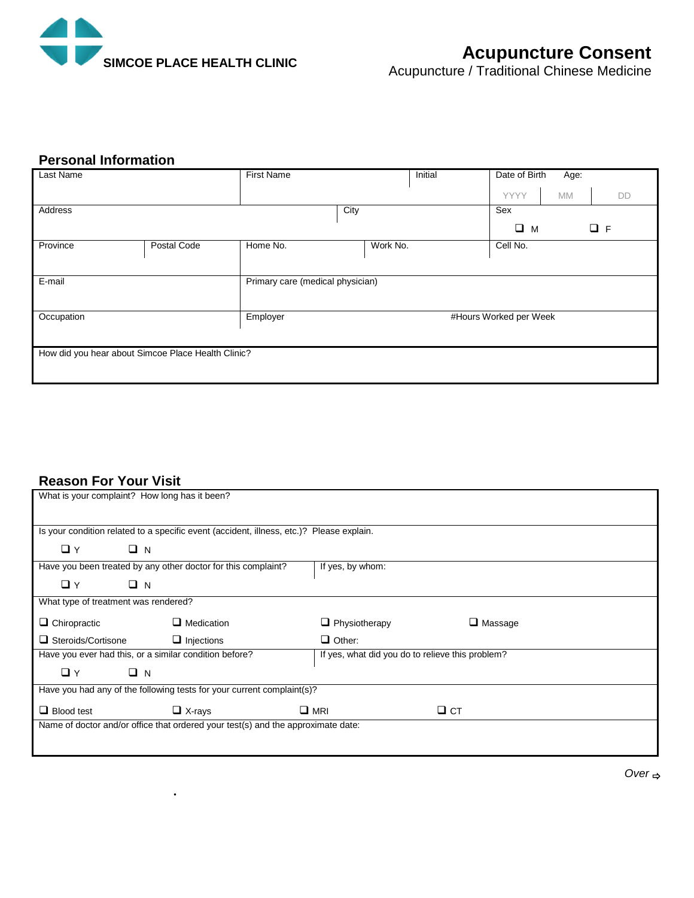

# **Personal Information**

| Last Name                                          |             | <b>First Name</b><br>Initial       |                      |                         | Date of Birth<br>Age: |           |    |  |
|----------------------------------------------------|-------------|------------------------------------|----------------------|-------------------------|-----------------------|-----------|----|--|
|                                                    |             |                                    |                      |                         | YYYY                  | <b>MM</b> | DD |  |
| Address                                            |             |                                    | City                 |                         | Sex                   |           |    |  |
|                                                    |             |                                    |                      | $\Box$ F<br>$\square$ M |                       |           |    |  |
| Province                                           | Postal Code | Home No.                           | Work No.<br>Cell No. |                         |                       |           |    |  |
|                                                    |             |                                    |                      |                         |                       |           |    |  |
| E-mail                                             |             | Primary care (medical physician)   |                      |                         |                       |           |    |  |
|                                                    |             |                                    |                      |                         |                       |           |    |  |
| Occupation                                         |             | #Hours Worked per Week<br>Employer |                      |                         |                       |           |    |  |
|                                                    |             |                                    |                      |                         |                       |           |    |  |
| How did you hear about Simcoe Place Health Clinic? |             |                                    |                      |                         |                       |           |    |  |
|                                                    |             |                                    |                      |                         |                       |           |    |  |

# **Reason For Your Visit**

 $\ddot{\phantom{0}}$ 

| What is your complaint? How long has it been?                 |                                                                                          |                                                  |                |  |
|---------------------------------------------------------------|------------------------------------------------------------------------------------------|--------------------------------------------------|----------------|--|
|                                                               |                                                                                          |                                                  |                |  |
|                                                               |                                                                                          |                                                  |                |  |
|                                                               | Is your condition related to a specific event (accident, illness, etc.)? Please explain. |                                                  |                |  |
|                                                               |                                                                                          |                                                  |                |  |
| $\Box$ Y<br>$\Box$ N                                          |                                                                                          |                                                  |                |  |
| Have you been treated by any other doctor for this complaint? |                                                                                          | If yes, by whom:                                 |                |  |
| $\Box$ N<br>$\Box$ Y                                          |                                                                                          |                                                  |                |  |
|                                                               |                                                                                          |                                                  |                |  |
| What type of treatment was rendered?                          |                                                                                          |                                                  |                |  |
| $\Box$ Chiropractic                                           | $\Box$ Medication                                                                        | $\Box$ Physiotherapy                             | $\Box$ Massage |  |
|                                                               |                                                                                          |                                                  |                |  |
| $\Box$ Steroids/Cortisone                                     | $\Box$ Injections                                                                        | $\Box$ Other:                                    |                |  |
| Have you ever had this, or a similar condition before?        |                                                                                          | If yes, what did you do to relieve this problem? |                |  |
| $\Box$ Y<br>$\Box$ N                                          |                                                                                          |                                                  |                |  |
|                                                               |                                                                                          |                                                  |                |  |
|                                                               | Have you had any of the following tests for your current complaint(s)?                   |                                                  |                |  |
| $\Box$ Blood test                                             | $\Box$ X-rays                                                                            | $\Box$ MRI                                       | $\Box$ CT      |  |
|                                                               |                                                                                          |                                                  |                |  |
|                                                               | Name of doctor and/or office that ordered your test(s) and the approximate date:         |                                                  |                |  |
|                                                               |                                                                                          |                                                  |                |  |
|                                                               |                                                                                          |                                                  |                |  |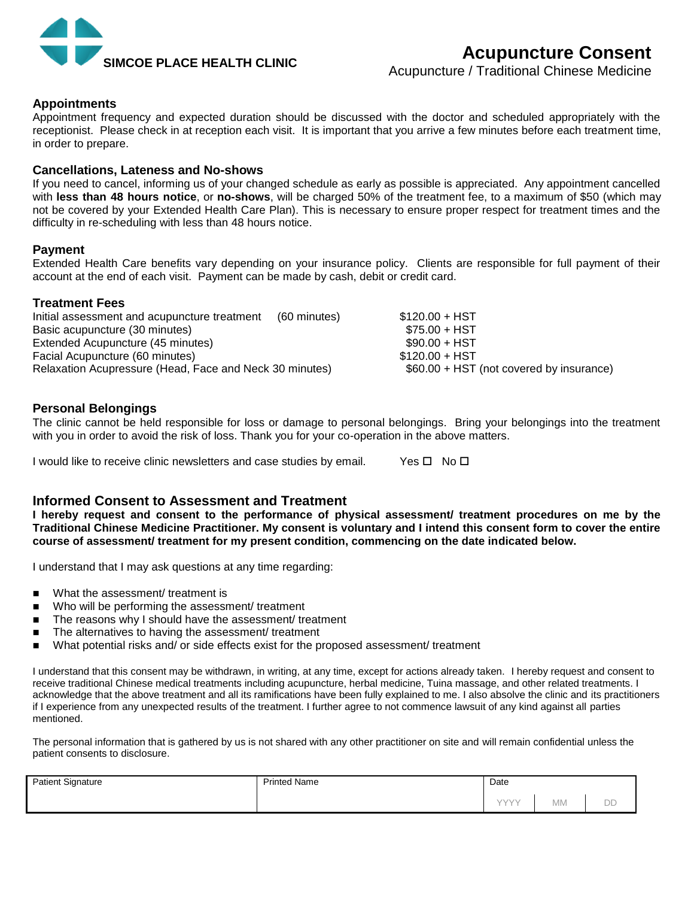

Acupuncture / Traditional Chinese Medicine

## **Appointments**

Appointment frequency and expected duration should be discussed with the doctor and scheduled appropriately with the receptionist. Please check in at reception each visit. It is important that you arrive a few minutes before each treatment time, in order to prepare.

### **Cancellations, Lateness and No-shows**

If you need to cancel, informing us of your changed schedule as early as possible is appreciated. Any appointment cancelled with **less than 48 hours notice**, or **no-shows**, will be charged 50% of the treatment fee, to a maximum of \$50 (which may not be covered by your Extended Health Care Plan). This is necessary to ensure proper respect for treatment times and the difficulty in re-scheduling with less than 48 hours notice.

### **Payment**

Extended Health Care benefits vary depending on your insurance policy. Clients are responsible for full payment of their account at the end of each visit. Payment can be made by cash, debit or credit card.

### **Treatment Fees**

| Initial assessment and acupuncture treatment            | (60 minutes) | $$120.00 + HST$                          |  |
|---------------------------------------------------------|--------------|------------------------------------------|--|
| Basic acupuncture (30 minutes)                          |              | $$75.00 + HST$                           |  |
| Extended Acupuncture (45 minutes)                       |              | $$90.00 + HST$                           |  |
| Facial Acupuncture (60 minutes)                         |              | $$120.00 + HST$                          |  |
| Relaxation Acupressure (Head, Face and Neck 30 minutes) |              | \$60.00 + HST (not covered by insurance) |  |

### **Personal Belongings**

The clinic cannot be held responsible for loss or damage to personal belongings. Bring your belongings into the treatment with you in order to avoid the risk of loss. Thank you for your co-operation in the above matters.

I would like to receive clinic newsletters and case studies by email. Yes  $\Box$  No  $\Box$ 

# **Informed Consent to Assessment and Treatment**

**I hereby request and consent to the performance of physical assessment/ treatment procedures on me by the Traditional Chinese Medicine Practitioner. My consent is voluntary and I intend this consent form to cover the entire course of assessment/ treatment for my present condition, commencing on the date indicated below.**

I understand that I may ask questions at any time regarding:

- What the assessment/ treatment is
- Who will be performing the assessment/ treatment
- The reasons why I should have the assessment/ treatment
- The alternatives to having the assessment/ treatment
- What potential risks and/ or side effects exist for the proposed assessment/ treatment

I understand that this consent may be withdrawn, in writing, at any time, except for actions already taken. I hereby request and consent to receive traditional Chinese medical treatments including acupuncture, herbal medicine, Tuina massage, and other related treatments. I acknowledge that the above treatment and all its ramifications have been fully explained to me. I also absolve the clinic and its practitioners if I experience from any unexpected results of the treatment. I further agree to not commence lawsuit of any kind against all parties mentioned.

The personal information that is gathered by us is not shared with any other practitioner on site and will remain confidential unless the patient consents to disclosure.

| <b>Patient Signature</b> | <b>Printed Name</b> | Date |           |    |
|--------------------------|---------------------|------|-----------|----|
|                          |                     | VVVV | <b>MM</b> | DD |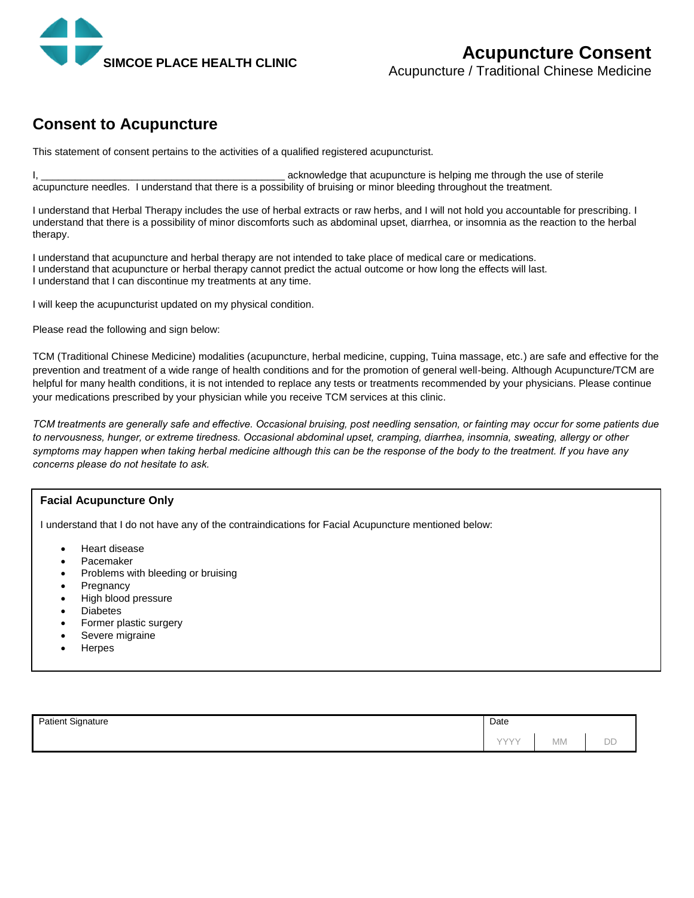

# **Consent to Acupuncture**

This statement of consent pertains to the activities of a qualified registered acupuncturist.

I, \_\_\_\_\_\_\_\_\_\_\_\_\_\_\_\_\_\_\_\_\_\_\_\_\_\_\_\_\_\_\_\_\_\_\_\_\_\_\_\_\_\_\_ acknowledge that acupuncture is helping me through the use of sterile acupuncture needles. I understand that there is a possibility of bruising or minor bleeding throughout the treatment.

I understand that Herbal Therapy includes the use of herbal extracts or raw herbs, and I will not hold you accountable for prescribing. I understand that there is a possibility of minor discomforts such as abdominal upset, diarrhea, or insomnia as the reaction to the herbal therapy.

I understand that acupuncture and herbal therapy are not intended to take place of medical care or medications. I understand that acupuncture or herbal therapy cannot predict the actual outcome or how long the effects will last. I understand that I can discontinue my treatments at any time.

I will keep the acupuncturist updated on my physical condition.

Please read the following and sign below:

TCM (Traditional Chinese Medicine) modalities (acupuncture, herbal medicine, cupping, Tuina massage, etc.) are safe and effective for the prevention and treatment of a wide range of health conditions and for the promotion of general well-being. Although Acupuncture/TCM are helpful for many health conditions, it is not intended to replace any tests or treatments recommended by your physicians. Please continue your medications prescribed by your physician while you receive TCM services at this clinic.

*TCM treatments are generally safe and effective. Occasional bruising, post needling sensation, or fainting may occur for some patients due to nervousness, hunger, or extreme tiredness. Occasional abdominal upset, cramping, diarrhea, insomnia, sweating, allergy or other symptoms may happen when taking herbal medicine although this can be the response of the body to the treatment. If you have any concerns please do not hesitate to ask.*

#### **Facial Acupuncture Only**

I understand that I do not have any of the contraindications for Facial Acupuncture mentioned below:

- Heart disease
- Pacemaker
- Problems with bleeding or bruising
- **Pregnancy**
- High blood pressure
- Diabetes
- Former plastic surgery
- Severe migraine
- **Herpes**

| <b>Patient Signature</b><br>ີ | Date |           |    |
|-------------------------------|------|-----------|----|
|                               | VVVV | <b>MM</b> | DD |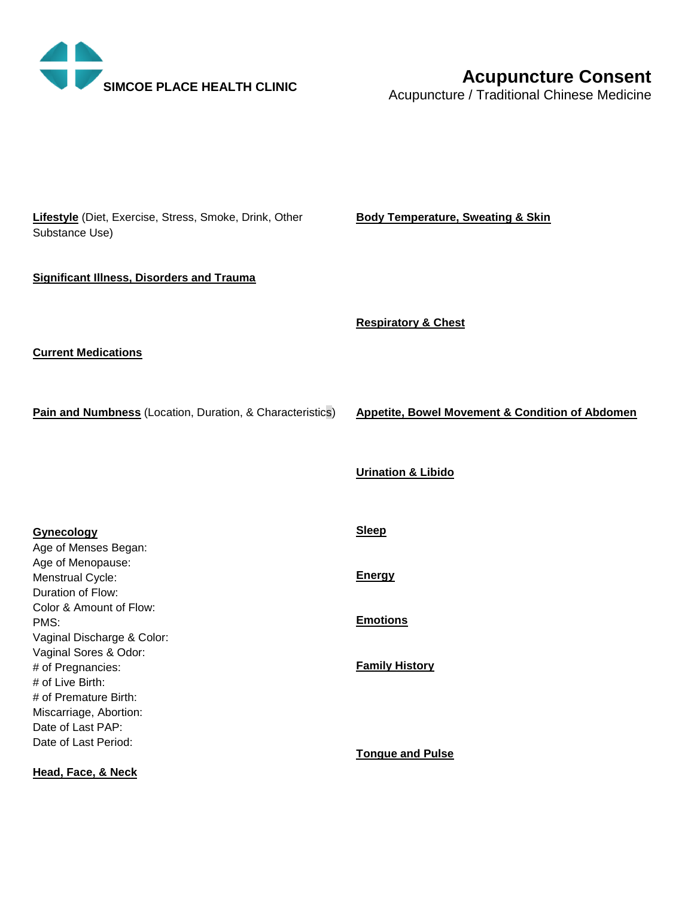

# **Acupuncture Consent**

Acupuncture / Traditional Chinese Medicine

**Lifestyle** (Diet, Exercise, Stress, Smoke, Drink, Other Substance Use)

**Body Temperature, Sweating & Skin**

### **Significant Illness, Disorders and Trauma**

**Respiratory & Chest** 

**Current Medications**

**Pain and Numbness** (Location, Duration, & Characteristics)

**Appetite, Bowel Movement & Condition of Abdomen**

**Gynecology** Age of Menses Began: Age of Menopause: Menstrual Cycle: Duration of Flow: Color & Amount of Flow: PMS: Vaginal Discharge & Color: Vaginal Sores & Odor: # of Pregnancies: # of Live Birth: # of Premature Birth: Miscarriage, Abortion: Date of Last PAP: Date of Last Period: **Sleep Energy Emotions Family History Tongue and Pulse**

**Head, Face, & Neck**

**Urination & Libido**